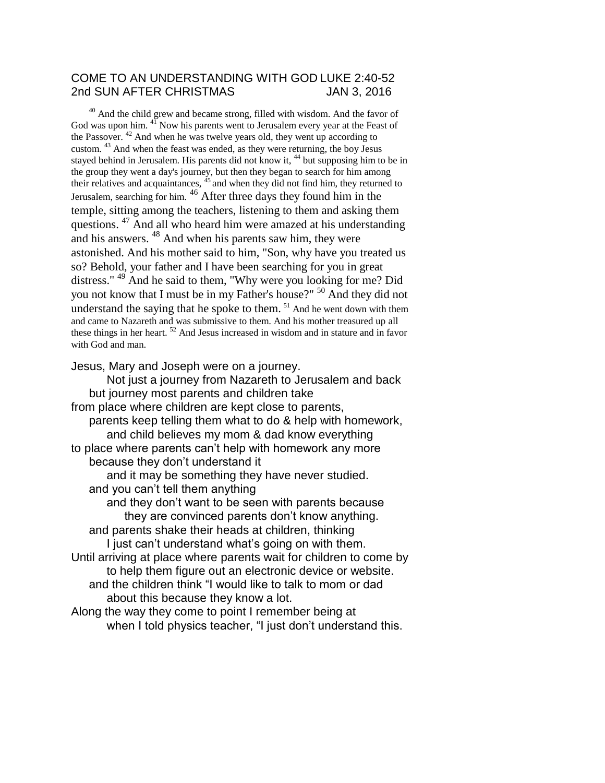## COME TO AN UNDERSTANDING WITH GOD LUKE 2:40-52 2nd SUN AFTER CHRISTMAS JAN 3, 2016

<sup>40</sup> And the child grew and became strong, filled with wisdom. And the favor of God was upon him. <sup>41</sup> Now his parents went to Jerusalem every year at the Feast of the Passover.  $42$  And when he was twelve years old, they went up according to custom. <sup>43</sup> And when the feast was ended, as they were returning, the boy Jesus stayed behind in Jerusalem. His parents did not know it, <sup>44</sup> but supposing him to be in the group they went a day's journey, but then they began to search for him among their relatives and acquaintances, <sup>45</sup> and when they did not find him, they returned to Jerusalem, searching for him. <sup>46</sup> After three days they found him in the temple, sitting among the teachers, listening to them and asking them questions. <sup>47</sup> And all who heard him were amazed at his understanding and his answers. <sup>48</sup> And when his parents saw him, they were astonished. And his mother said to him, "Son, why have you treated us so? Behold, your father and I have been searching for you in great distress." <sup>49</sup> And he said to them, "Why were you looking for me? Did you not know that I must be in my Father's house?" <sup>50</sup> And they did not understand the saying that he spoke to them.  $51$  And he went down with them and came to Nazareth and was submissive to them. And his mother treasured up all these things in her heart. <sup>52</sup> And Jesus increased in wisdom and in stature and in favor with God and man.

Jesus, Mary and Joseph were on a journey.

Not just a journey from Nazareth to Jerusalem and back but journey most parents and children take from place where children are kept close to parents, parents keep telling them what to do & help with homework, and child believes my mom & dad know everything to place where parents can't help with homework any more because they don't understand it and it may be something they have never studied. and you can't tell them anything and they don't want to be seen with parents because they are convinced parents don't know anything. and parents shake their heads at children, thinking I just can't understand what's going on with them. Until arriving at place where parents wait for children to come by to help them figure out an electronic device or website. and the children think "I would like to talk to mom or dad about this because they know a lot. Along the way they come to point I remember being at when I told physics teacher, "I just don't understand this.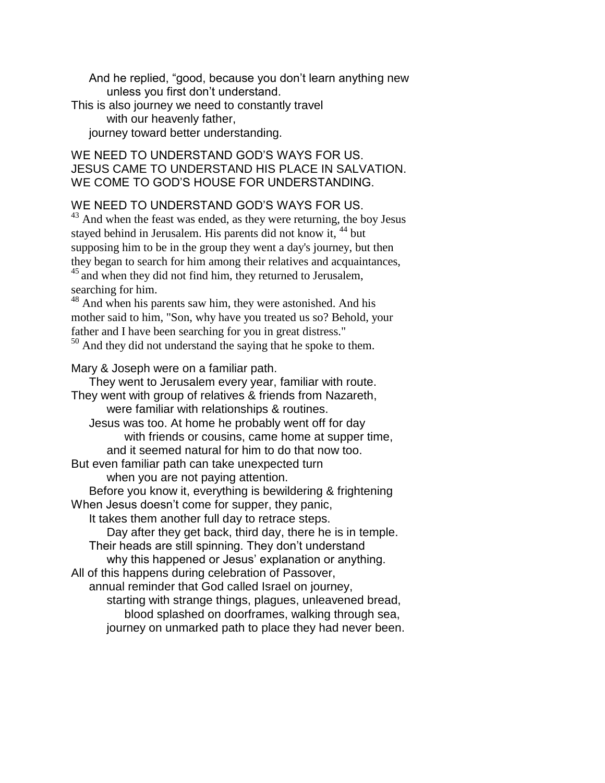And he replied, "good, because you don't learn anything new unless you first don't understand.

This is also journey we need to constantly travel with our heavenly father,

journey toward better understanding.

## WE NEED TO UNDERSTAND GOD'S WAYS FOR US. JESUS CAME TO UNDERSTAND HIS PLACE IN SALVATION. WE COME TO GOD'S HOUSE FOR UNDERSTANDING.

WE NEED TO UNDERSTAND GOD'S WAYS FOR US.

 $43$  And when the feast was ended, as they were returning, the boy Jesus stayed behind in Jerusalem. His parents did not know it, <sup>44</sup> but supposing him to be in the group they went a day's journey, but then they began to search for him among their relatives and acquaintances, <sup>45</sup> and when they did not find him, they returned to Jerusalem, searching for him.

<sup>48</sup> And when his parents saw him, they were astonished. And his mother said to him, "Son, why have you treated us so? Behold, your father and I have been searching for you in great distress." <sup>50</sup> And they did not understand the saying that he spoke to them.

Mary & Joseph were on a familiar path.

They went to Jerusalem every year, familiar with route. They went with group of relatives & friends from Nazareth, were familiar with relationships & routines. Jesus was too. At home he probably went off for day with friends or cousins, came home at supper time, and it seemed natural for him to do that now too. But even familiar path can take unexpected turn when you are not paying attention. Before you know it, everything is bewildering & frightening When Jesus doesn't come for supper, they panic, It takes them another full day to retrace steps. Day after they get back, third day, there he is in temple. Their heads are still spinning. They don't understand why this happened or Jesus' explanation or anything. All of this happens during celebration of Passover, annual reminder that God called Israel on journey, starting with strange things, plagues, unleavened bread, blood splashed on doorframes, walking through sea, journey on unmarked path to place they had never been.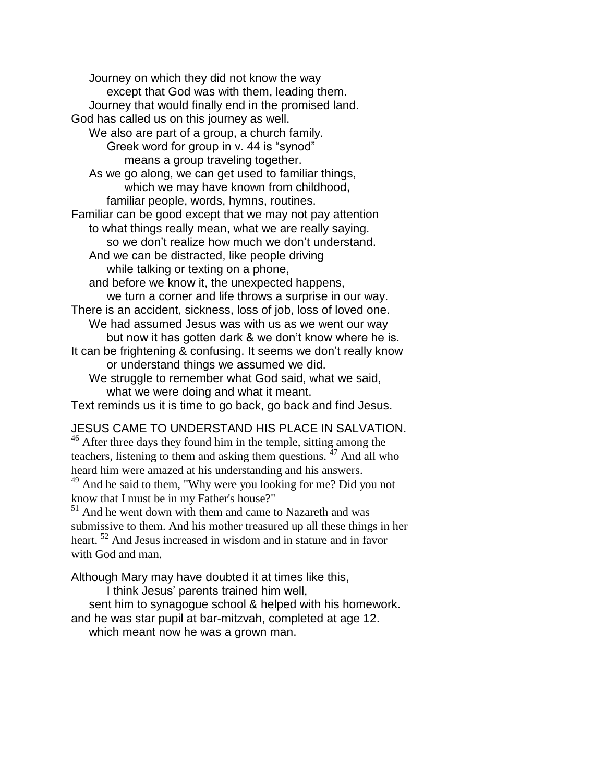Journey on which they did not know the way except that God was with them, leading them. Journey that would finally end in the promised land. God has called us on this journey as well. We also are part of a group, a church family. Greek word for group in v. 44 is "synod" means a group traveling together. As we go along, we can get used to familiar things, which we may have known from childhood, familiar people, words, hymns, routines. Familiar can be good except that we may not pay attention to what things really mean, what we are really saying. so we don't realize how much we don't understand. And we can be distracted, like people driving while talking or texting on a phone, and before we know it, the unexpected happens, we turn a corner and life throws a surprise in our way. There is an accident, sickness, loss of job, loss of loved one. We had assumed Jesus was with us as we went our way but now it has gotten dark & we don't know where he is. It can be frightening & confusing. It seems we don't really know or understand things we assumed we did. We struggle to remember what God said, what we said, what we were doing and what it meant.

Text reminds us it is time to go back, go back and find Jesus.

## JESUS CAME TO UNDERSTAND HIS PLACE IN SALVATION.

<sup>46</sup> After three days they found him in the temple, sitting among the teachers, listening to them and asking them questions.  $47$  And all who heard him were amazed at his understanding and his answers. <sup>49</sup> And he said to them, "Why were you looking for me? Did you not

know that I must be in my Father's house?"

<sup>51</sup> And he went down with them and came to Nazareth and was submissive to them. And his mother treasured up all these things in her heart. <sup>52</sup> And Jesus increased in wisdom and in stature and in favor with God and man.

Although Mary may have doubted it at times like this,

I think Jesus' parents trained him well,

sent him to synagogue school & helped with his homework. and he was star pupil at bar-mitzvah, completed at age 12.

which meant now he was a grown man.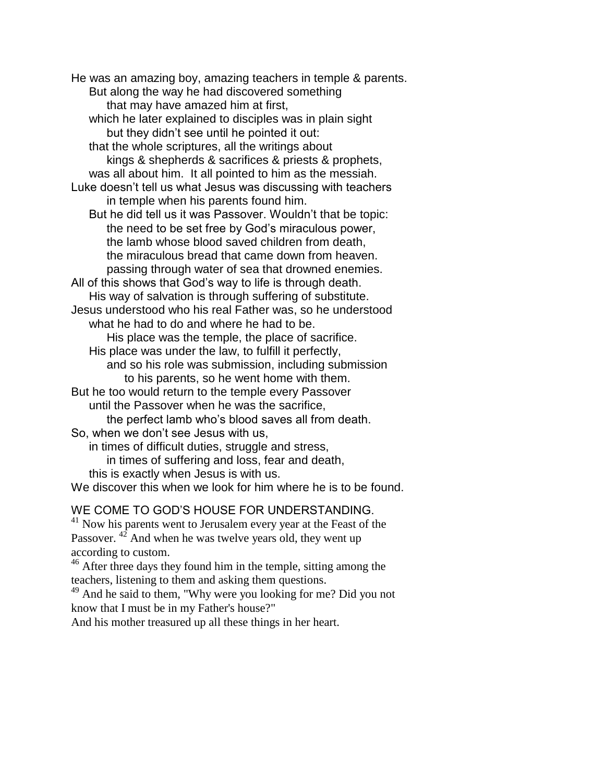He was an amazing boy, amazing teachers in temple & parents. But along the way he had discovered something that may have amazed him at first, which he later explained to disciples was in plain sight but they didn't see until he pointed it out: that the whole scriptures, all the writings about kings & shepherds & sacrifices & priests & prophets, was all about him. It all pointed to him as the messiah. Luke doesn't tell us what Jesus was discussing with teachers in temple when his parents found him. But he did tell us it was Passover. Wouldn't that be topic: the need to be set free by God's miraculous power, the lamb whose blood saved children from death, the miraculous bread that came down from heaven. passing through water of sea that drowned enemies. All of this shows that God's way to life is through death. His way of salvation is through suffering of substitute. Jesus understood who his real Father was, so he understood what he had to do and where he had to be. His place was the temple, the place of sacrifice. His place was under the law, to fulfill it perfectly, and so his role was submission, including submission to his parents, so he went home with them. But he too would return to the temple every Passover until the Passover when he was the sacrifice, the perfect lamb who's blood saves all from death. So, when we don't see Jesus with us, in times of difficult duties, struggle and stress, in times of suffering and loss, fear and death, this is exactly when Jesus is with us. We discover this when we look for him where he is to be found.

## WE COME TO GOD'S HOUSE FOR UNDERSTANDING.

<sup>41</sup> Now his parents went to Jerusalem every year at the Feast of the Passover. <sup>42</sup> And when he was twelve years old, they went up according to custom.

<sup>46</sup> After three days they found him in the temple, sitting among the teachers, listening to them and asking them questions.

<sup>49</sup> And he said to them, "Why were you looking for me? Did you not know that I must be in my Father's house?"

And his mother treasured up all these things in her heart.